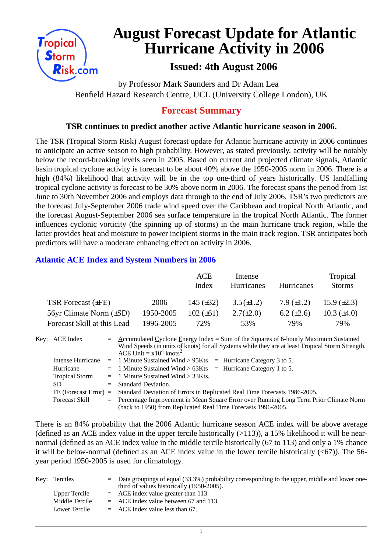

# **August Forecast Update for Atlantic Hurricane Activity in 2006**

# **Issued: 4th August 2006**

by Professor Mark Saunders and Dr Adam Lea Benfield Hazard Research Centre, UCL (University College London), UK

### **Forecast Summary**

#### **TSR continues to predict another active Atlantic hurricane season in 2006.**

The TSR (Tropical Storm Risk) August forecast update for Atlantic hurricane activity in 2006 continues to anticipate an active season to high probability. However, as stated previously, activity will be notably below the record-breaking levels seen in 2005. Based on current and projected climate signals, Atlantic basin tropical cyclone activity is forecast to be about 40% above the 1950-2005 norm in 2006. There is a high (84%) likelihood that activity will be in the top one-third of years historically. US landfalling tropical cyclone activity is forecast to be 30% above norm in 2006. The forecast spans the period from 1st June to 30th November 2006 and employs data through to the end of July 2006. TSR's two predictors are the forecast July-September 2006 trade wind speed over the Caribbean and tropical North Atlantic, and the forecast August-September 2006 sea surface temperature in the tropical North Atlantic. The former influences cyclonic vorticity (the spinning up of storms) in the main hurricane track region, while the latter provides heat and moisture to power incipient storms in the main track region. TSR anticipates both predictors will have a moderate enhancing effect on activity in 2006.

#### **Atlantic ACE Index and System Numbers in 2006**

|                              |           | <b>ACE</b><br>Index | Intense<br>Hurricanes | <b>Hurricanes</b> | Tropical<br><b>Storms</b> |
|------------------------------|-----------|---------------------|-----------------------|-------------------|---------------------------|
| TSR Forecast (±FE)           | 2006      | 145 $(\pm 32)$      | $3.5(\pm 1.2)$        | 7.9 $(\pm 1.2)$   | 15.9 $(\pm 2.3)$          |
| 56yr Climate Norm $(\pm SD)$ | 1950-2005 | $102 (\pm 61)$      | $2.7(\pm 2.0)$        | 6.2 $(\pm 2.6)$   | 10.3 $(\pm 4.0)$          |
| Forecast Skill at this Lead  | 1996-2005 | 72%                 | 53%                   | 79%               | 79%                       |

| Key: ACE Index        | $=$ Accumulated Cyclone Energy Index = Sum of the Squares of 6-hourly Maximum Sustained<br>Wind Speeds (in units of knots) for all Systems while they are at least Tropical Storm Strength.<br>ACE Unit = $x10^4$ knots <sup>2</sup> . |  |  |  |  |  |
|-----------------------|----------------------------------------------------------------------------------------------------------------------------------------------------------------------------------------------------------------------------------------|--|--|--|--|--|
|                       | Intense Hurricane = 1 Minute Sustained Wind > $95Kts$ = Hurricane Category 3 to 5.                                                                                                                                                     |  |  |  |  |  |
| Hurricane             | $=$ 1 Minute Sustained Wind > 63Kts $=$ Hurricane Category 1 to 5.                                                                                                                                                                     |  |  |  |  |  |
| <b>Tropical Storm</b> | $=$ 1 Minute Sustained Wind > 33Kts.                                                                                                                                                                                                   |  |  |  |  |  |
| SD.                   | $=$ Standard Deviation.                                                                                                                                                                                                                |  |  |  |  |  |
|                       | FE (Forecast Error) = Standard Deviation of Errors in Replicated Real Time Forecasts 1986-2005.                                                                                                                                        |  |  |  |  |  |
| <b>Forecast Skill</b> | = Percentage Improvement in Mean Square Error over Running Long Term Prior Climate Norm                                                                                                                                                |  |  |  |  |  |
|                       | (back to 1950) from Replicated Real Time Forecasts 1996-2005.                                                                                                                                                                          |  |  |  |  |  |

There is an 84% probability that the 2006 Atlantic hurricane season ACE index will be above average (defined as an ACE index value in the upper tercile historically  $(>113)$ ), a 15% likelihood it will be nearnormal (defined as an ACE index value in the middle tercile historically (67 to 113) and only a 1% chance it will be below-normal (defined as an ACE index value in the lower tercile historically  $( $67$ )$ ). The 56year period 1950-2005 is used for climatology.

| Key: Terciles  |  | $\epsilon$ Data groupings of equal (33.3%) probability corresponding to the upper, middle and lower one-<br>third of values historically (1950-2005). |
|----------------|--|-------------------------------------------------------------------------------------------------------------------------------------------------------|
| Upper Tercile  |  | $=$ ACE index value greater than 113.                                                                                                                 |
| Middle Tercile |  | $=$ ACE index value between 67 and 113.                                                                                                               |
| Lower Tercile  |  | $=$ ACE index value less than 67.                                                                                                                     |

 $\overline{1}$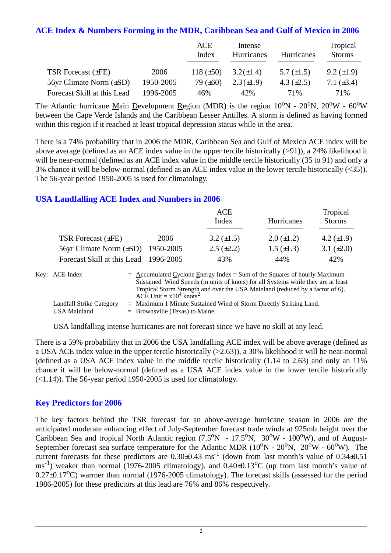#### **ACE Index & Numbers Forming in the MDR, Caribbean Sea and Gulf of Mexico in 2006**

|                              |           | ACE<br>Index   | Intense<br>Hurricanes | Hurricanes      | Tropical<br><b>Storms</b> |
|------------------------------|-----------|----------------|-----------------------|-----------------|---------------------------|
| TSR Forecast $(\pm FE)$      | 2006      | 118 $(\pm 50)$ | $3.2(\pm 1.4)$        | 5.7 $(\pm 1.5)$ | $9.2 \ (\pm 1.9)$         |
| 56yr Climate Norm $(\pm SD)$ | 1950-2005 | 79 $(\pm 60)$  | $2.3(\pm 1.9)$        | 4.3 $(\pm 2.5)$ | 7.1 $(\pm 3.4)$           |
| Forecast Skill at this Lead  | 1996-2005 | 46%            | 42%                   | 71%             | 71%                       |

The Atlantic hurricane Main Development Region (MDR) is the region  $10^{\circ}N - 20^{\circ}N$ ,  $20^{\circ}W - 60^{\circ}W$ between the Cape Verde Islands and the Caribbean Lesser Antilles. A storm is defined as having formed within this region if it reached at least tropical depression status while in the area.

There is a 74% probability that in 2006 the MDR, Caribbean Sea and Gulf of Mexico ACE index will be above average (defined as an ACE index value in the upper tercile historically (>91)), a 24% likelihood it will be near-normal (defined as an ACE index value in the middle tercile historically (35 to 91) and only a 3% chance it will be below-normal (defined as an ACE index value in the lower tercile historically (<35)). The 56-year period 1950-2005 is used for climatology.

#### **USA Landfalling ACE Index and Numbers in 2006**

|                                       |      | ACE<br>Index      | Hurricanes        | Tropical<br><b>Storms</b> |
|---------------------------------------|------|-------------------|-------------------|---------------------------|
| TSR Forecast $(\pm FE)$               | 2006 | 3.2 $(\pm 1.5)$   | $2.0 (\pm 1.2)$   | 4.2 $(\pm 1.9)$           |
| 56yr Climate Norm (±SD) 1950-2005     |      | $2.5 \ (\pm 2.2)$ | $1.5 \ (\pm 1.3)$ | 3.1 $(\pm 2.0)$           |
| Forecast Skill at this Lead 1996-2005 |      | 43%               | 44%               | 42%                       |

| Key: ACE Index           | $=$ Accumulated Cyclone Energy Index $=$ Sum of the Squares of hourly Maximum     |
|--------------------------|-----------------------------------------------------------------------------------|
|                          | Sustained Wind Speeds (in units of knots) for all Systems while they are at least |
|                          | Tropical Storm Strength and over the USA Mainland (reduced by a factor of 6).     |
|                          | ACE Unit = $x10^4$ knots <sup>2</sup> .                                           |
| Landfall Strike Category | $=$ Maximum 1 Minute Sustained Wind of Storm Directly Striking Land.              |
| USA Mainland             | $=$ Brownsville (Texas) to Maine.                                                 |

USA landfalling intense hurricanes are not forecast since we have no skill at any lead.

There is a 59% probability that in 2006 the USA landfalling ACE index will be above average (defined as a USA ACE index value in the upper tercile historically (>2.63)), a 30% likelihood it will be near-normal (defined as a USA ACE index value in the middle tercile historically (1.14 to 2.63) and only an 11% chance it will be below-normal (defined as a USA ACE index value in the lower tercile historically  $(\le 1.14)$ ). The 56-year period 1950-2005 is used for climatology.

#### **Key Predictors for 2006**

The key factors behind the TSR forecast for an above-average hurricane season in 2006 are the anticipated moderate enhancing effect of July-September forecast trade winds at 925mb height over the Caribbean Sea and tropical North Atlantic region  $(7.5^{\circ}N - 17.5^{\circ}N, 30^{\circ}W - 100^{\circ}W)$ , and of August-September forecast sea surface temperature for the Atlantic MDR  $(10^{\circ}N - 20^{\circ}N, 20^{\circ}W - 60^{\circ}W)$ . The current forecasts for these predictors are  $0.30\pm0.43$  ms<sup>-1</sup> (down from last month's value of  $0.34\pm0.51$  $\text{ms}^{-1}$ ) weaker than normal (1976-2005 climatology), and 0.40±0.13<sup>o</sup>C (up from last month's value of  $0.27\pm0.17^{\circ}$ C) warmer than normal (1976-2005 climatology). The forecast skills (assessed for the period 1986-2005) for these predictors at this lead are 76% and 86% respectively.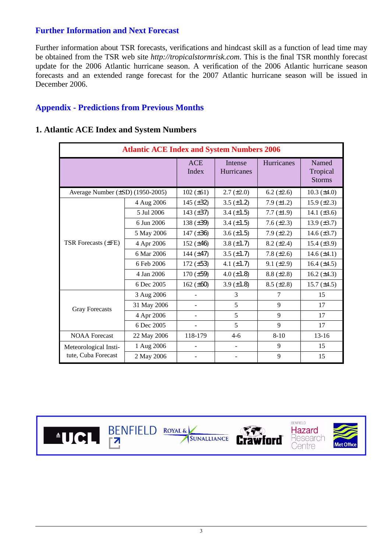#### **Further Information and Next Forecast**

Further information about TSR forecasts, verifications and hindcast skill as a function of lead time may be obtained from the TSR web site *http://tropicalstormrisk.com*. This is the final TSR monthly forecast update for the 2006 Atlantic hurricane season. A verification of the 2006 Atlantic hurricane season forecasts and an extended range forecast for the 2007 Atlantic hurricane season will be issued in December 2006.

#### **Appendix - Predictions from Previous Months**

| <b>Atlantic ACE Index and System Numbers 2006</b> |             |                     |                       |                 |                                    |  |  |  |
|---------------------------------------------------|-------------|---------------------|-----------------------|-----------------|------------------------------------|--|--|--|
|                                                   |             | <b>ACE</b><br>Index | Intense<br>Hurricanes | Hurricanes      | Named<br>Tropical<br><b>Storms</b> |  |  |  |
| Average Number (±SD) (1950-2005)                  |             | $102 (\pm 61)$      | $2.7 (\pm 2.0)$       | 6.2 $(\pm 2.6)$ | 10.3 $(\pm 4.0)$                   |  |  |  |
|                                                   | 4 Aug 2006  | 145 $(\pm 32)$      | 3.5 $(\pm 1.2)$       | 7.9 $(\pm 1.2)$ | 15.9 $(\pm 2.3)$                   |  |  |  |
|                                                   | 5 Jul 2006  | 143 $(\pm 37)$      | 3.4 $(\pm 1.5)$       | 7.7 $(\pm 1.9)$ | 14.1 $(\pm 3.6)$                   |  |  |  |
|                                                   | 6 Jun 2006  | 138 $(\pm 39)$      | 3.4 $(\pm 1.5)$       | 7.6 $(\pm 2.3)$ | 13.9 $(\pm 3.7)$                   |  |  |  |
|                                                   | 5 May 2006  | 147 $(\pm 36)$      | 3.6 $(\pm 1.5)$       | 7.9 $(\pm 2.2)$ | 14.6 $(\pm 3.7)$                   |  |  |  |
| <b>TSR Forecasts (±FE)</b>                        | 4 Apr 2006  | 152 $(\pm 46)$      | 3.8 $(\pm 1.7)$       | $8.2 (\pm 2.4)$ | 15.4 $(\pm 3.9)$                   |  |  |  |
|                                                   | 6 Mar 2006  | 144 $(\pm 47)$      | $3.5 (\pm 1.7)$       | 7.8 $(\pm 2.6)$ | 14.6 $(\pm 4.1)$                   |  |  |  |
|                                                   | 6 Feb 2006  | 172 $(\pm 53)$      | 4.1 $(\pm 1.7)$       | $9.1 (\pm 2.9)$ | 16.4 $(\pm 4.5)$                   |  |  |  |
|                                                   | 4 Jan 2006  | $170 (\pm 59)$      | 4.0 $(\pm 1.8)$       | $8.8 (\pm 2.8)$ | 16.2 $(\pm 4.3)$                   |  |  |  |
|                                                   | 6 Dec 2005  | 162 $(\pm 60)$      | 3.9 $(\pm 1.8)$       | $8.5 (\pm 2.8)$ | 15.7 $(\pm 4.5)$                   |  |  |  |
|                                                   | 3 Aug 2006  |                     | 3                     | 7               | 15                                 |  |  |  |
| <b>Gray Forecasts</b>                             | 31 May 2006 |                     | 5                     | 9               | 17                                 |  |  |  |
|                                                   | 4 Apr 2006  |                     | 5                     | 9               | 17                                 |  |  |  |
|                                                   | 6 Dec 2005  |                     | 5                     | 9               | 17                                 |  |  |  |
| <b>NOAA</b> Forecast                              | 22 May 2006 | 118-179             | $4-6$                 | $8 - 10$        | $13 - 16$                          |  |  |  |
| Meteorological Insti-                             | 1 Aug 2006  |                     |                       | 9               | 15                                 |  |  |  |
| tute, Cuba Forecast                               | 2 May 2006  |                     |                       | 9               | 15                                 |  |  |  |

#### **1. Atlantic ACE Index and System Numbers**



**FZ**